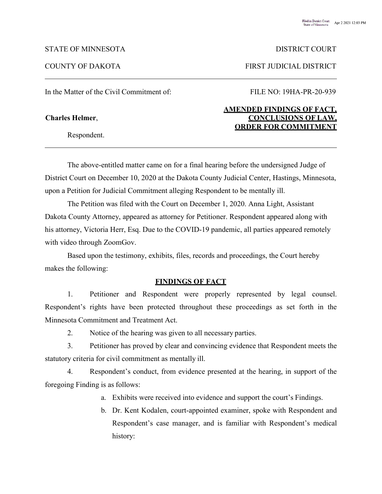### STATE OF MINNESOTA DISTRICT COURT

In the Matter of the Civil Commitment of: FILE NO: 19HA-PR-20-939

Respondent.

COUNTY OF DAKOTA FIRST JUDICIAL DISTRICT

# **AMENDED FINDINGS OF FACT, Charles Helmer**, **CONCLUSIONS OF LAW, ORDER FOR COMMITMENT**

The above-entitled matter came on for a final hearing before the undersigned Judge of District Court on December 10, 2020 at the Dakota County Judicial Center, Hastings, Minnesota, upon a Petition for Judicial Commitment alleging Respondent to be mentally ill.

The Petition was filed with the Court on December 1, 2020. Anna Light, Assistant Dakota County Attorney, appeared as attorney for Petitioner. Respondent appeared along with his attorney, Victoria Herr, Esq. Due to the COVID-19 pandemic, all parties appeared remotely with video through ZoomGov.

Based upon the testimony, exhibits, files, records and proceedings, the Court hereby makes the following:

### **FINDINGS OF FACT**

1. Petitioner and Respondent were properly represented by legal counsel. Respondent's rights have been protected throughout these proceedings as set forth in the Minnesota Commitment and Treatment Act.

2. Notice of the hearing was given to all necessary parties.

3. Petitioner has proved by clear and convincing evidence that Respondent meets the statutory criteria for civil commitment as mentally ill.

4. Respondent's conduct, from evidence presented at the hearing, in support of the foregoing Finding is as follows:

- a. Exhibits were received into evidence and support the court's Findings.
- b. Dr. Kent Kodalen, court-appointed examiner, spoke with Respondent and Respondent's case manager, and is familiar with Respondent's medical history: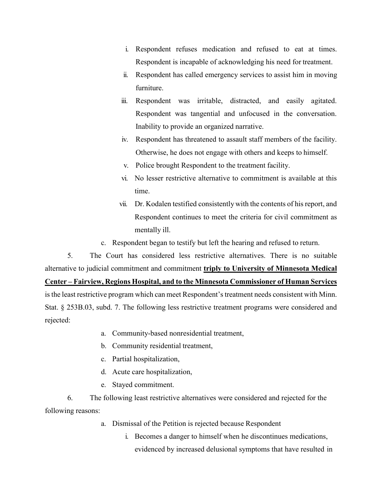- i. Respondent refuses medication and refused to eat at times. Respondent is incapable of acknowledging his need for treatment.
- ii. Respondent has called emergency services to assist him in moving furniture.
- iii. Respondent was irritable, distracted, and easily agitated. Respondent was tangential and unfocused in the conversation. Inability to provide an organized narrative.
- iv. Respondent has threatened to assault staff members of the facility. Otherwise, he does not engage with others and keeps to himself.
- v. Police brought Respondent to the treatment facility.
- vi. No lesser restrictive alternative to commitment is available at this time.
- vii. Dr. Kodalen testified consistently with the contents of his report, and Respondent continues to meet the criteria for civil commitment as mentally ill.
- c. Respondent began to testify but left the hearing and refused to return.

5. The Court has considered less restrictive alternatives. There is no suitable alternative to judicial commitment and commitment **triply to University of Minnesota Medical Center – Fairview, Regions Hospital, and to the Minnesota Commissioner of Human Services** is the least restrictive program which can meet Respondent's treatment needs consistent with Minn. Stat. § 253B.03, subd. 7. The following less restrictive treatment programs were considered and

- rejected:
- a. Community-based nonresidential treatment,
- b. Community residential treatment,
- c. Partial hospitalization,
- d. Acute care hospitalization,
- e. Stayed commitment.

6. The following least restrictive alternatives were considered and rejected for the following reasons:

- a. Dismissal of the Petition is rejected because Respondent
	- i. Becomes a danger to himself when he discontinues medications, evidenced by increased delusional symptoms that have resulted in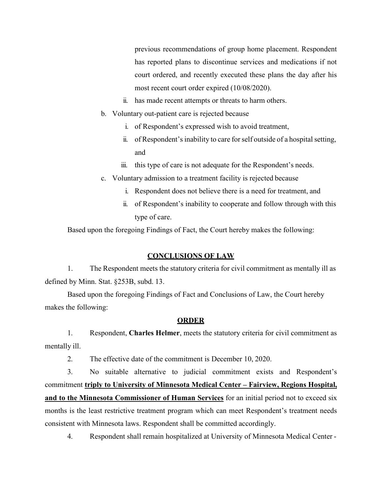previous recommendations of group home placement. Respondent has reported plans to discontinue services and medications if not court ordered, and recently executed these plans the day after his most recent court order expired (10/08/2020).

- ii. has made recent attempts or threats to harm others.
- b. Voluntary out-patient care is rejected because
	- i. of Respondent's expressed wish to avoid treatment,
	- ii. of Respondent's inability to care for self outside of a hospital setting, and
	- iii. this type of care is not adequate for the Respondent's needs.
- c. Voluntary admission to a treatment facility is rejected because
	- i. Respondent does not believe there is a need for treatment, and
	- ii. of Respondent's inability to cooperate and follow through with this type of care.

Based upon the foregoing Findings of Fact, the Court hereby makes the following:

# **CONCLUSIONS OF LAW**

1. The Respondent meets the statutory criteria for civil commitment as mentally ill as defined by Minn. Stat. §253B, subd. 13.

Based upon the foregoing Findings of Fact and Conclusions of Law, the Court hereby makes the following:

## **ORDER**

1. Respondent, **Charles Helmer**, meets the statutory criteria for civil commitment as mentally ill.

2. The effective date of the commitment is December 10, 2020.

3. No suitable alternative to judicial commitment exists and Respondent's commitment **triply to University of Minnesota Medical Center – Fairview, Regions Hospital, and to the Minnesota Commissioner of Human Services** for an initial period not to exceed six months is the least restrictive treatment program which can meet Respondent's treatment needs consistent with Minnesota laws. Respondent shall be committed accordingly.

4. Respondent shall remain hospitalized at University of Minnesota Medical Center -